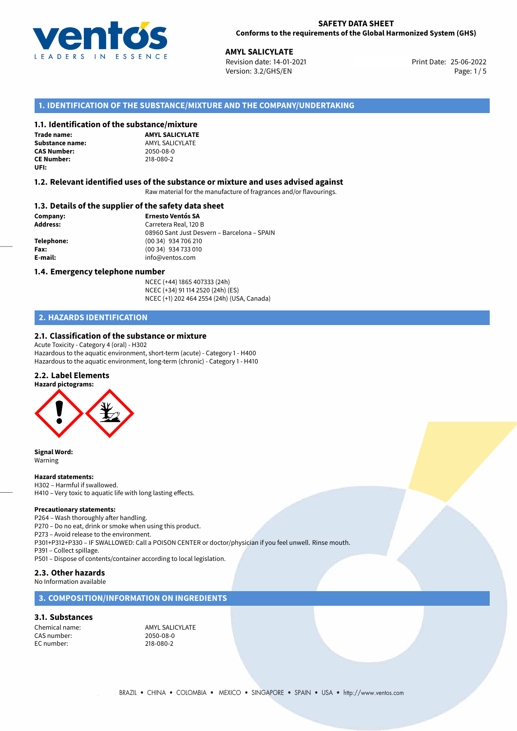

#### **SAFETY DATA SHEET Conforms to the requirements of the Global Harmonized System (GHS)**

25-06-2022 **AMYL SALICYLATE** Revision date: 14-01-2021 Print Date: Version: 3.2/GHS/EN Page: 1/5

## **1. IDENTIFICATION OF THE SUBSTANCE/MIXTURE AND THE COMPANY/UNDERTAKING**

### **1.1. Identification of the substance/mixture**

**Trade name: CAS Number: CE Number:** 218-080-2 **UFI:**

**AMYL SALICYLATE Substance name:** AMYL SALICYLATE<br> **CAS Number:** 2050-08-0

#### **1.2. Relevant identified uses of the substance or mixture and uses advised against**

Raw material for the manufacture of fragrances and/or flavourings.

#### **1.3. Details of the supplier of the safety data sheet**

**Company: Ernesto Ventós SA Address:** Carretera Real, 120 B 08960 Sant Just Desvern – Barcelona – SPAIN **Telephone:** (00 34) 934 706 210 **Fax:** (00 34) 934 733 010 **E-mail:** info@ventos.com

#### **1.4. Emergency telephone number**

NCEC (+44) 1865 407333 (24h) NCEC (+34) 91 114 2520 (24h) (ES) NCEC (+1) 202 464 2554 (24h) (USA, Canada)

## **2. HAZARDS IDENTIFICATION**

### **2.1. Classification of the substance or mixture**

Acute Toxicity - Category 4 (oral) - H302 Hazardous to the aquatic environment, short-term (acute) - Category 1 - H400 Hazardous to the aquatic environment, long-term (chronic) - Category 1 - H410

## **2.2. Label Elements**



**Signal Word:** Warning

#### **Hazard statements:**

H302 – Harmful if swallowed. H410 – Very toxic to aquatic life with long lasting effects.

#### **Precautionary statements:**

P264 – Wash thoroughly after handling.

P270 – Do no eat, drink or smoke when using this product.

P273 – Avoid release to the environment.

P301+P312+P330 – IF SWALLOWED: Call a POISON CENTER or doctor/physician if you feel unwell. Rinse mouth.

P391 – Collect spillage.

P501 – Dispose of contents/container according to local legislation.

## **2.3. Other hazards**

No Information available

## **3. COMPOSITION/INFORMATION ON INGREDIENTS**

#### **3.1. Substances**

CAS number: 2050-08-0 EC number:

Chemical name: AMYL SALICYLATE<br>
CAS number: 2050-08-0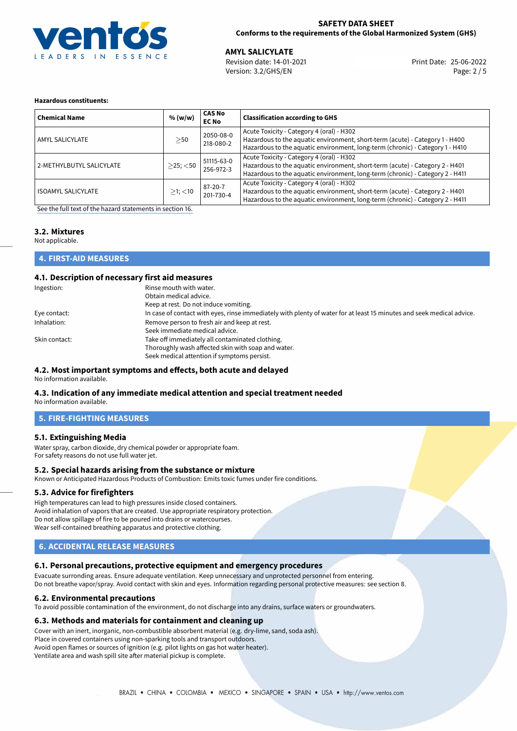

### **SAFETY DATA SHEET Conforms to the requirements of the Global Harmonized System (GHS)**

25-06-2022 **AMYL SALICYLATE** Revision date: 14-01-2021 Print Date: Version: 3.2/GHS/EN Page: 2 / 5

#### **Hazardous constituents:**

| <b>Chemical Name</b>      | % (w/w)        | <b>CAS No</b><br><b>EC No</b> | <b>Classification according to GHS</b>                                                                                                                                                                     |
|---------------------------|----------------|-------------------------------|------------------------------------------------------------------------------------------------------------------------------------------------------------------------------------------------------------|
| AMYL SALICYLATE           | >50            | 2050-08-0<br>218-080-2        | Acute Toxicity - Category 4 (oral) - H302<br>Hazardous to the aquatic environment, short-term (acute) - Category 1 - H400<br>Hazardous to the aquatic environment, long-term (chronic) - Category 1 - H410 |
| 2-METHYLBUTYL SALICYLATE  | $>$ 25; $<$ 50 | 51115-63-0<br>256-972-3       | Acute Toxicity - Category 4 (oral) - H302<br>Hazardous to the aquatic environment, short-term (acute) - Category 2 - H401<br>Hazardous to the aquatic environment, long-term (chronic) - Category 2 - H411 |
| <b>ISOAMYL SALICYLATE</b> | $>1$ ; $<$ 10  | 87-20-7<br>201-730-4          | Acute Toxicity - Category 4 (oral) - H302<br>Hazardous to the aquatic environment, short-term (acute) - Category 2 - H401<br>Hazardous to the aquatic environment, long-term (chronic) - Category 2 - H411 |

[See the full text of the hazard statements in section 16.](#page-4-0)

# **3.2. Mixtures**

Not applicable.

### **4. FIRST-AID MEASURES**

### **4.1. Description of necessary first aid measures**

| Ingestion:    | Rinse mouth with water.                                                                                               |
|---------------|-----------------------------------------------------------------------------------------------------------------------|
|               | Obtain medical advice.                                                                                                |
|               | Keep at rest. Do not induce vomiting.                                                                                 |
| Eye contact:  | In case of contact with eyes, rinse immediately with plenty of water for at least 15 minutes and seek medical advice. |
| Inhalation:   | Remove person to fresh air and keep at rest.                                                                          |
|               | Seek immediate medical advice.                                                                                        |
| Skin contact: | Take off immediately all contaminated clothing.                                                                       |
|               | Thoroughly wash affected skin with soap and water.                                                                    |
|               | Seek medical attention if symptoms persist.                                                                           |

#### **4.2. Most important symptoms and effects, both acute and delayed** No information available.

# **4.3. Indication of any immediate medical attention and special treatment needed**

No information available.

### **5. FIRE-FIGHTING MEASURES**

### **5.1. Extinguishing Media**

Water spray, carbon dioxide, dry chemical powder or appropriate foam. For safety reasons do not use full water jet.

### **5.2. Special hazards arising from the substance or mixture**

Known or Anticipated Hazardous Products of Combustion: Emits toxic fumes under fire conditions.

### **5.3. Advice for firefighters**

High temperatures can lead to high pressures inside closed containers. Avoid inhalation of vapors that are created. Use appropriate respiratory protection. Do not allow spillage of fire to be poured into drains or watercourses. Wear self-contained breathing apparatus and protective clothing.

## **6. ACCIDENTAL RELEASE MEASURES**

## **6.1. Personal precautions, protective equipment and emergency procedures**

Evacuate surronding areas. Ensure adequate ventilation. Keep unnecessary and unprotected personnel from entering. Do not breathe vapor/spray. Avoid contact with skin and eyes. Information regarding personal protective measures: see section 8.

### **6.2. Environmental precautions**

To avoid possible contamination of the environment, do not discharge into any drains, surface waters or groundwaters.

### **6.3. Methods and materials for containment and cleaning up**

Cover with an inert, inorganic, non-combustible absorbent material (e.g. dry-lime, sand, soda ash). Place in covered containers using non-sparking tools and transport outdoors.

Avoid open flames or sources of ignition (e.g. pilot lights on gas hot water heater).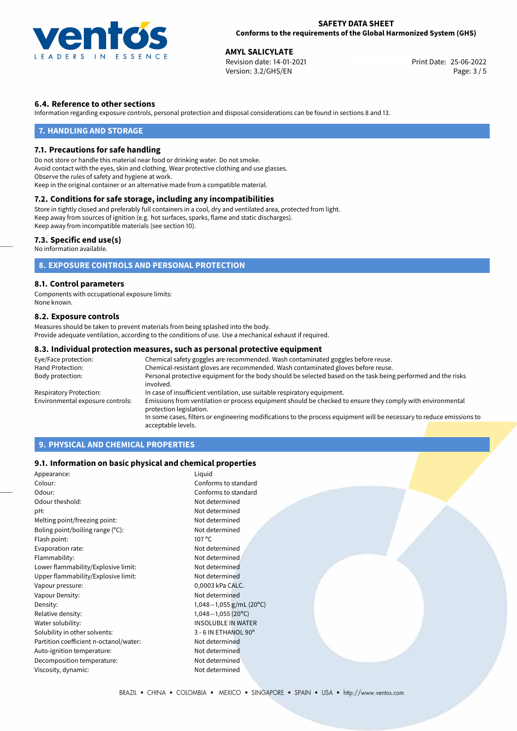

#### **SAFETY DATA SHEET Conforms to the requirements of the Global Harmonized System (GHS)**

**AMYL SALICYLATE**<br>
Revision date: 14-01-2021<br> **Print Date: 25-06-2022** Revision date: 14-01-2021 Version: 3.2/GHS/EN Page: 3 / 5

## **6.4. Reference to other sections**

Information regarding exposure controls, personal protection and disposal considerations can be found in sections 8 and 13.

#### **7. HANDLING AND STORAGE**

#### **7.1. Precautions for safe handling**

Do not store or handle this material near food or drinking water. Do not smoke. Avoid contact with the eyes, skin and clothing. Wear protective clothing and use glasses. Observe the rules of safety and hygiene at work. Keep in the original container or an alternative made from a compatible material.

## **7.2. Conditions for safe storage, including any incompatibilities**

Store in tightly closed and preferably full containers in a cool, dry and ventilated area, protected from light. Keep away from sources of ignition (e.g. hot surfaces, sparks, flame and static discharges). Keep away from incompatible materials (see section 10).

#### **7.3. Specific end use(s)**

No information available.

## **8. EXPOSURE CONTROLS AND PERSONAL PROTECTION**

#### **8.1. Control parameters**

Components with occupational exposure limits: None known.

#### **8.2. Exposure controls**

Measures should be taken to prevent materials from being splashed into the body. Provide adequate ventilation, according to the conditions of use. Use a mechanical exhaust if required.

#### **8.3. Individual protection measures, such as personal protective equipment**

| Eye/Face protection:             | Chemical safety goggles are recommended. Wash contaminated goggles before reuse.                                                      |  |  |  |
|----------------------------------|---------------------------------------------------------------------------------------------------------------------------------------|--|--|--|
| Hand Protection:                 | Chemical-resistant gloves are recommended. Wash contaminated gloves before reuse.                                                     |  |  |  |
| Body protection:                 | Personal protective equipment for the body should be selected based on the task being performed and the risks<br>involved.            |  |  |  |
| Respiratory Protection:          | In case of insufficient ventilation, use suitable respiratory equipment.                                                              |  |  |  |
| Environmental exposure controls: | Emissions from ventilation or process equipment should be checked to ensure they comply with environmental<br>protection legislation. |  |  |  |
|                                  | In some cases, filters or engineering modifications to the process equipment will be necessary to reduce emissions to                 |  |  |  |
|                                  | acceptable levels.                                                                                                                    |  |  |  |

## **9. PHYSICAL AND CHEMICAL PROPERTIES**

#### **9.1. Information on basic physical and chemical properties**

| Appearance:                            | Liquid                     |
|----------------------------------------|----------------------------|
| Colour:                                | Conforms to standard       |
| Odour:                                 | Conforms to standard       |
| Odour theshold:                        | Not determined             |
| pH:                                    | Not determined             |
| Melting point/freezing point:          | Not determined             |
| Boling point/boiling range (°C):       | Not determined             |
| Flash point:                           | $107^{\circ}$ C            |
| Evaporation rate:                      | Not determined             |
| Flammability:                          | Not determined             |
| Lower flammability/Explosive limit:    | Not determined             |
| Upper flammability/Explosive limit:    | Not determined             |
| Vapour pressure:                       | 0,0003 kPa CALC.           |
| Vapour Density:                        | Not determined             |
| Density:                               | 1,048-1,055 g/mL (20°C)    |
| Relative density:                      | $1,048-1,055(20^{\circ}C)$ |
| Water solubility:                      | <b>INSOLUBLE IN WATER</b>  |
| Solubility in other solvents:          | 3 - 6 IN ETHANOL 90°       |
| Partition coefficient n-octanol/water: | Not determined             |
| Auto-ignition temperature:             | Not determined             |
| Decomposition temperature:             | Not determined             |
| Viscosity, dynamic:                    | Not determined             |
|                                        |                            |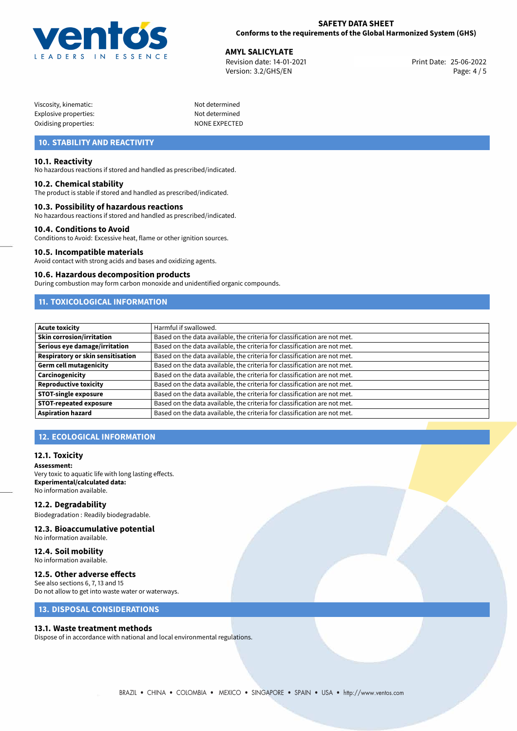

25-06-2022 **AMYL SALICYLATE** Revision date: 14-01-2021 Print Date: Version: 3.2/GHS/EN Page: 4 / 5

| Viscosity, kinematic: |  |
|-----------------------|--|
| Explosive properties: |  |
| Oxidising properties: |  |

Not determined Not determined NONE EXPECTED

# **10. STABILITY AND REACTIVITY**

#### **10.1. Reactivity**

No hazardous reactions if stored and handled as prescribed/indicated.

#### **10.2. Chemical stability**

The product is stable if stored and handled as prescribed/indicated.

#### **10.3. Possibility of hazardous reactions**

No hazardous reactions if stored and handled as prescribed/indicated.

#### **10.4. Conditions to Avoid**

Conditions to Avoid: Excessive heat, flame or other ignition sources.

#### **10.5. Incompatible materials**

Avoid contact with strong acids and bases and oxidizing agents.

#### **10.6. Hazardous decomposition products**

During combustion may form carbon monoxide and unidentified organic compounds.

# **11. TOXICOLOGICAL INFORMATION**

| <b>Acute toxicity</b>             | Harmful if swallowed.                                                     |
|-----------------------------------|---------------------------------------------------------------------------|
| Skin corrosion/irritation         | Based on the data available, the criteria for classification are not met. |
| Serious eye damage/irritation     | Based on the data available, the criteria for classification are not met. |
| Respiratory or skin sensitisation | Based on the data available, the criteria for classification are not met. |
| Germ cell mutagenicity            | Based on the data available, the criteria for classification are not met. |
| Carcinogenicity                   | Based on the data available, the criteria for classification are not met. |
| Reproductive toxicity             | Based on the data available, the criteria for classification are not met. |
| <b>STOT-single exposure</b>       | Based on the data available, the criteria for classification are not met. |
| <b>STOT-repeated exposure</b>     | Based on the data available, the criteria for classification are not met. |
| <b>Aspiration hazard</b>          | Based on the data available, the criteria for classification are not met. |

## **12. ECOLOGICAL INFORMATION**

#### **12.1. Toxicity**

**Assessment:** Very toxic to aquatic life with long lasting effects. **Experimental/calculated data:** No information available.

#### **12.2. Degradability**

Biodegradation : Readily biodegradable.

#### **12.3. Bioaccumulative potential**

No information available.

**12.4. Soil mobility** No information available.

### **12.5. Other adverse effects**

See also sections 6, 7, 13 and 15 Do not allow to get into waste water or waterways.

## **13. DISPOSAL CONSIDERATIONS**

#### **13.1. Waste treatment methods**

Dispose of in accordance with national and local environmental regulations.